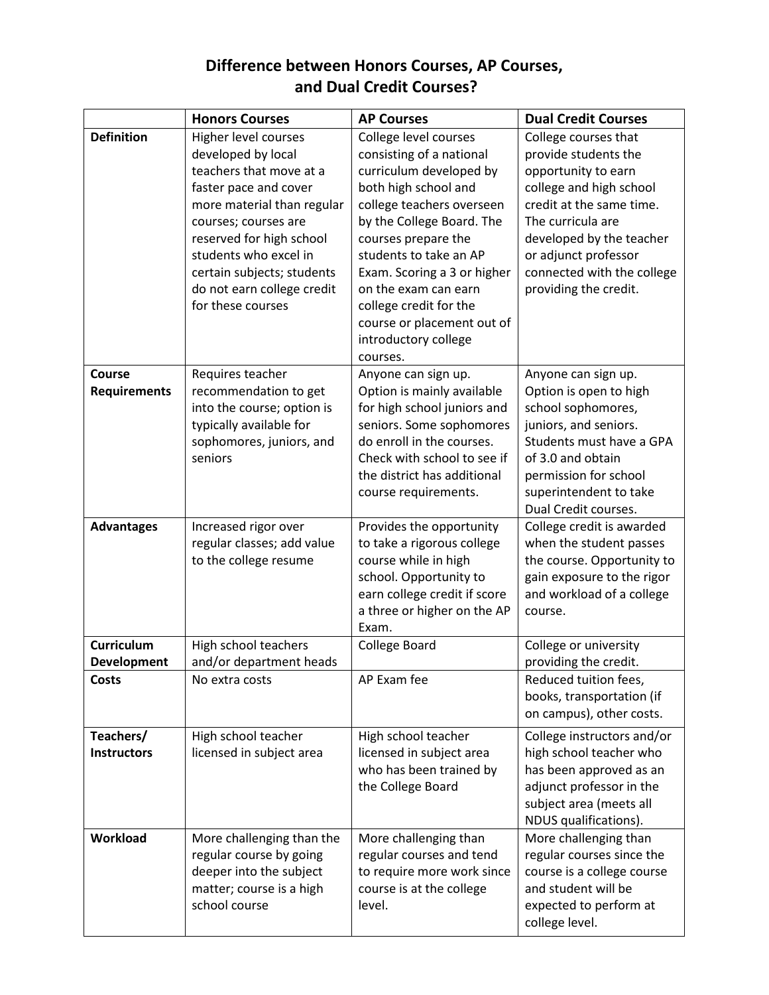## **Difference between Honors Courses, AP Courses, and Dual Credit Courses?**

|                                    | <b>Honors Courses</b>                                                                                                                                                                                                                                                                      | <b>AP Courses</b>                                                                                                                                                                                                                                                                                                                                                  | <b>Dual Credit Courses</b>                                                                                                                                                                                                                                 |
|------------------------------------|--------------------------------------------------------------------------------------------------------------------------------------------------------------------------------------------------------------------------------------------------------------------------------------------|--------------------------------------------------------------------------------------------------------------------------------------------------------------------------------------------------------------------------------------------------------------------------------------------------------------------------------------------------------------------|------------------------------------------------------------------------------------------------------------------------------------------------------------------------------------------------------------------------------------------------------------|
| <b>Definition</b>                  | Higher level courses<br>developed by local<br>teachers that move at a<br>faster pace and cover<br>more material than regular<br>courses; courses are<br>reserved for high school<br>students who excel in<br>certain subjects; students<br>do not earn college credit<br>for these courses | College level courses<br>consisting of a national<br>curriculum developed by<br>both high school and<br>college teachers overseen<br>by the College Board. The<br>courses prepare the<br>students to take an AP<br>Exam. Scoring a 3 or higher<br>on the exam can earn<br>college credit for the<br>course or placement out of<br>introductory college<br>courses. | College courses that<br>provide students the<br>opportunity to earn<br>college and high school<br>credit at the same time.<br>The curricula are<br>developed by the teacher<br>or adjunct professor<br>connected with the college<br>providing the credit. |
| Course<br><b>Requirements</b>      | Requires teacher<br>recommendation to get<br>into the course; option is<br>typically available for<br>sophomores, juniors, and<br>seniors                                                                                                                                                  | Anyone can sign up.<br>Option is mainly available<br>for high school juniors and<br>seniors. Some sophomores<br>do enroll in the courses.<br>Check with school to see if<br>the district has additional<br>course requirements.                                                                                                                                    | Anyone can sign up.<br>Option is open to high<br>school sophomores,<br>juniors, and seniors.<br>Students must have a GPA<br>of 3.0 and obtain<br>permission for school<br>superintendent to take<br>Dual Credit courses.                                   |
| <b>Advantages</b>                  | Increased rigor over<br>regular classes; add value<br>to the college resume                                                                                                                                                                                                                | Provides the opportunity<br>to take a rigorous college<br>course while in high<br>school. Opportunity to<br>earn college credit if score<br>a three or higher on the AP<br>Exam.                                                                                                                                                                                   | College credit is awarded<br>when the student passes<br>the course. Opportunity to<br>gain exposure to the rigor<br>and workload of a college<br>course.                                                                                                   |
| <b>Curriculum</b>                  | High school teachers                                                                                                                                                                                                                                                                       | College Board                                                                                                                                                                                                                                                                                                                                                      | College or university                                                                                                                                                                                                                                      |
| <b>Development</b><br><b>Costs</b> | and/or department heads<br>No extra costs                                                                                                                                                                                                                                                  | AP Exam fee                                                                                                                                                                                                                                                                                                                                                        | providing the credit.<br>Reduced tuition fees,<br>books, transportation (if<br>on campus), other costs.                                                                                                                                                    |
| Teachers/<br><b>Instructors</b>    | High school teacher<br>licensed in subject area                                                                                                                                                                                                                                            | High school teacher<br>licensed in subject area<br>who has been trained by<br>the College Board                                                                                                                                                                                                                                                                    | College instructors and/or<br>high school teacher who<br>has been approved as an<br>adjunct professor in the<br>subject area (meets all<br>NDUS qualifications).                                                                                           |
| Workload                           | More challenging than the<br>regular course by going<br>deeper into the subject<br>matter; course is a high<br>school course                                                                                                                                                               | More challenging than<br>regular courses and tend<br>to require more work since<br>course is at the college<br>level.                                                                                                                                                                                                                                              | More challenging than<br>regular courses since the<br>course is a college course<br>and student will be<br>expected to perform at<br>college level.                                                                                                        |